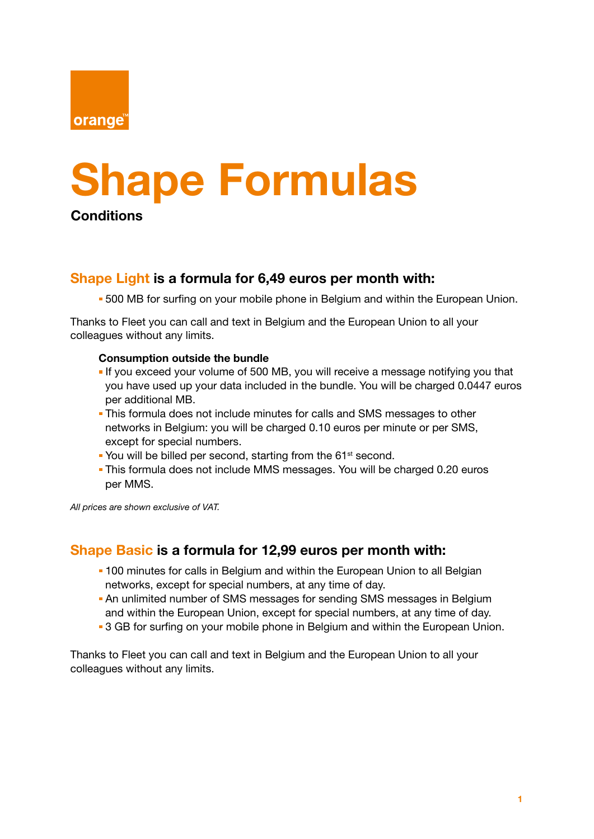

# Shape Formulas

**Conditions** 

## Shape Light is a formula for 6,49 euros per month with:

**500 MB for surfing on your mobile phone in Belgium and within the European Union.** 

Thanks to Fleet you can call and text in Belgium and the European Union to all your colleagues without any limits.

#### Consumption outside the bundle

- **If you exceed your volume of 500 MB, you will receive a message notifying you that** you have used up your data included in the bundle. You will be charged 0.0447 euros per additional MB.
- This formula does not include minutes for calls and SMS messages to other networks in Belgium: you will be charged 0.10 euros per minute or per SMS, except for special numbers.
- You will be billed per second, starting from the 61<sup>st</sup> second.
- This formula does not include MMS messages. You will be charged 0.20 euros per MMS.

*All prices are shown exclusive of VAT.* 

## Shape Basic is a formula for 12,99 euros per month with:

- **-100 minutes for calls in Belgium and within the European Union to all Belgian** networks, except for special numbers, at any time of day.
- An unlimited number of SMS messages for sending SMS messages in Belgium and within the European Union, except for special numbers, at any time of day.
- **3 GB for surfing on your mobile phone in Belgium and within the European Union.**

Thanks to Fleet you can call and text in Belgium and the European Union to all your colleagues without any limits.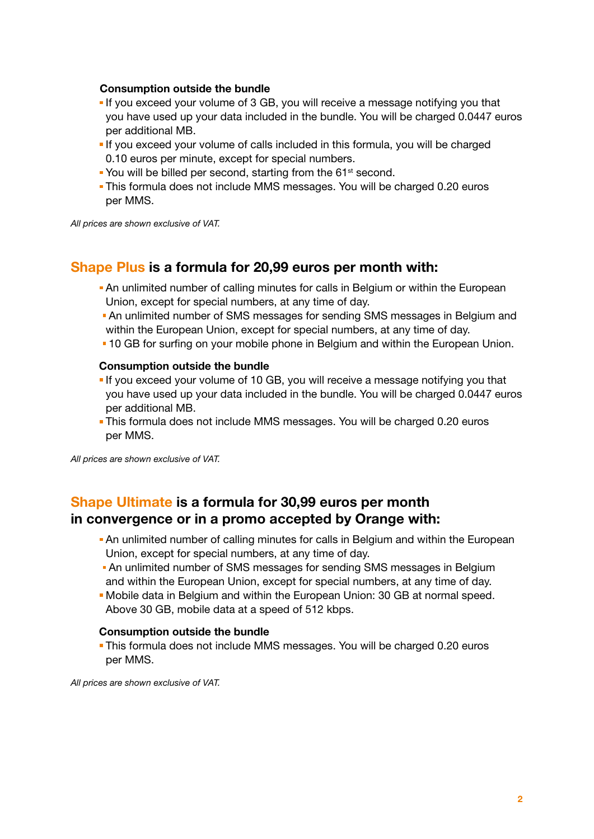#### Consumption outside the bundle

- If you exceed your volume of 3 GB, you will receive a message notifying you that you have used up your data included in the bundle. You will be charged 0.0447 euros per additional MB.
- If you exceed your volume of calls included in this formula, you will be charged 0.10 euros per minute, except for special numbers.
- You will be billed per second, starting from the 61<sup>st</sup> second.
- This formula does not include MMS messages. You will be charged 0.20 euros per MMS.

*All prices are shown exclusive of VAT.* 

## Shape Plus is a formula for 20,99 euros per month with:

- An unlimited number of calling minutes for calls in Belgium or within the European Union, except for special numbers, at any time of day.
- An unlimited number of SMS messages for sending SMS messages in Belgium and within the European Union, except for special numbers, at any time of day.
- 10 GB for surfing on your mobile phone in Belgium and within the European Union.

#### Consumption outside the bundle

- If you exceed your volume of 10 GB, you will receive a message notifying you that you have used up your data included in the bundle. You will be charged 0.0447 euros per additional MB.
- This formula does not include MMS messages. You will be charged 0.20 euros per MMS.

*All prices are shown exclusive of VAT.* 

# Shape Ultimate is a formula for 30,99 euros per month in convergence or in a promo accepted by Orange with:

- **An unlimited number of calling minutes for calls in Belgium and within the European** Union, except for special numbers, at any time of day.
- An unlimited number of SMS messages for sending SMS messages in Belgium and within the European Union, except for special numbers, at any time of day.
- Mobile data in Belgium and within the European Union: 30 GB at normal speed. Above 30 GB, mobile data at a speed of 512 kbps.

#### Consumption outside the bundle

 This formula does not include MMS messages. You will be charged 0.20 euros per MMS.

*All prices are shown exclusive of VAT.*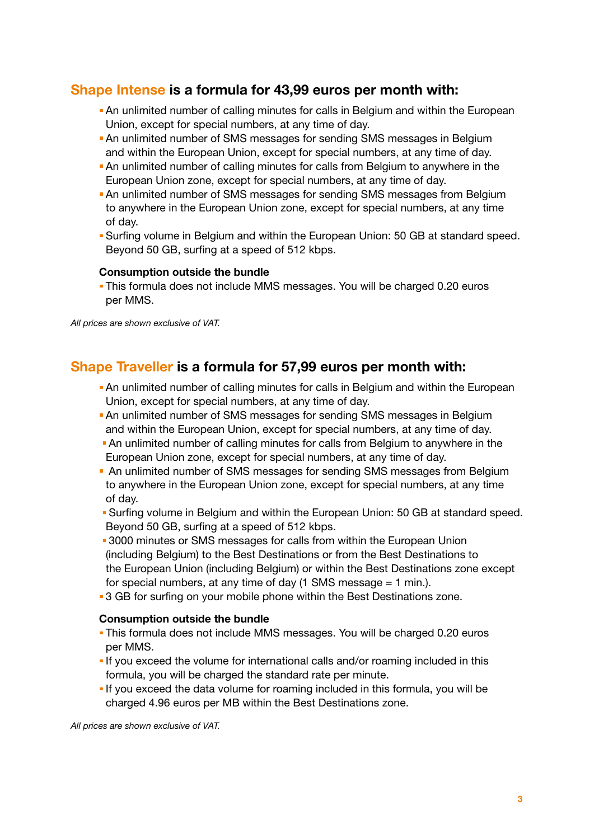## Shape Intense is a formula for 43,99 euros per month with:

- An unlimited number of calling minutes for calls in Belgium and within the European Union, except for special numbers, at any time of day.
- An unlimited number of SMS messages for sending SMS messages in Belgium and within the European Union, except for special numbers, at any time of day.
- An unlimited number of calling minutes for calls from Belgium to anywhere in the European Union zone, except for special numbers, at any time of day.
- An unlimited number of SMS messages for sending SMS messages from Belgium to anywhere in the European Union zone, except for special numbers, at any time of day.
- Surfing volume in Belgium and within the European Union: 50 GB at standard speed. Beyond 50 GB, surfing at a speed of 512 kbps.

#### Consumption outside the bundle

 This formula does not include MMS messages. You will be charged 0.20 euros per MMS.

*All prices are shown exclusive of VAT.* 

## Shape Traveller is a formula for 57,99 euros per month with:

- An unlimited number of calling minutes for calls in Belgium and within the European Union, except for special numbers, at any time of day.
- An unlimited number of SMS messages for sending SMS messages in Belgium and within the European Union, except for special numbers, at any time of day.
- An unlimited number of calling minutes for calls from Belgium to anywhere in the European Union zone, except for special numbers, at any time of day.
- An unlimited number of SMS messages for sending SMS messages from Belgium to anywhere in the European Union zone, except for special numbers, at any time of day.
- **Surfing volume in Belgium and within the European Union: 50 GB at standard speed.** Beyond 50 GB, surfing at a speed of 512 kbps.
- **3000** minutes or SMS messages for calls from within the European Union (including Belgium) to the Best Destinations or from the Best Destinations to the European Union (including Belgium) or within the Best Destinations zone except for special numbers, at any time of day (1 SMS message = 1 min.).
- 3 GB for surfing on your mobile phone within the Best Destinations zone.

#### Consumption outside the bundle

- This formula does not include MMS messages. You will be charged 0.20 euros per MMS.
- If you exceed the volume for international calls and/or roaming included in this formula, you will be charged the standard rate per minute.
- **If you exceed the data volume for roaming included in this formula, you will be** charged 4.96 euros per MB within the Best Destinations zone.

*All prices are shown exclusive of VAT.*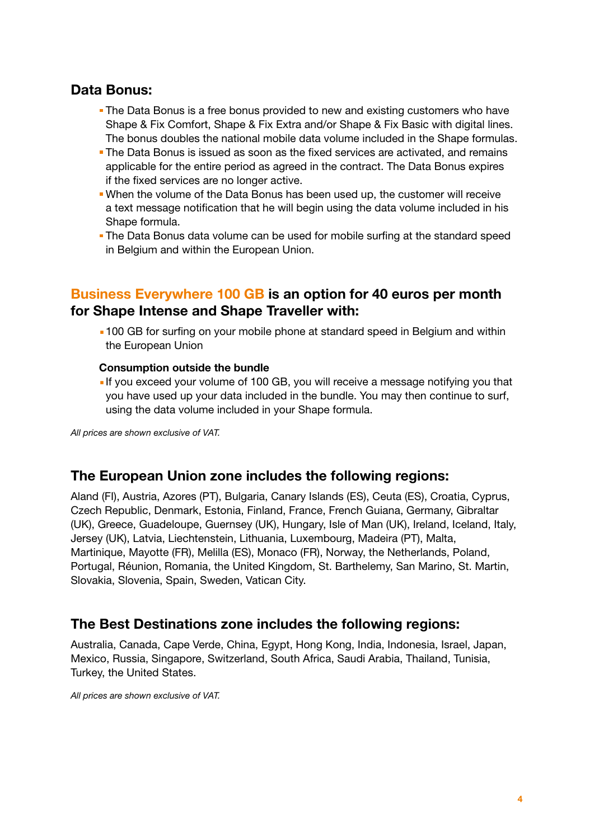# Data Bonus:

- **The Data Bonus is a free bonus provided to new and existing customers who have** Shape & Fix Comfort, Shape & Fix Extra and/or Shape & Fix Basic with digital lines. The bonus doubles the national mobile data volume included in the Shape formulas.
- The Data Bonus is issued as soon as the fixed services are activated, and remains applicable for the entire period as agreed in the contract. The Data Bonus expires if the fixed services are no longer active.
- When the volume of the Data Bonus has been used up, the customer will receive a text message notification that he will begin using the data volume included in his Shape formula.
- The Data Bonus data volume can be used for mobile surfing at the standard speed in Belgium and within the European Union.

## Business Everywhere 100 GB is an option for 40 euros per month for Shape Intense and Shape Traveller with:

■100 GB for surfing on your mobile phone at standard speed in Belgium and within the European Union

#### Consumption outside the bundle

■ If you exceed your volume of 100 GB, you will receive a message notifying you that you have used up your data included in the bundle. You may then continue to surf, using the data volume included in your Shape formula.

*All prices are shown exclusive of VAT.* 

## The European Union zone includes the following regions:

Aland (FI), Austria, Azores (PT), Bulgaria, Canary Islands (ES), Ceuta (ES), Croatia, Cyprus, Czech Republic, Denmark, Estonia, Finland, France, French Guiana, Germany, Gibraltar (UK), Greece, Guadeloupe, Guernsey (UK), Hungary, Isle of Man (UK), Ireland, Iceland, Italy, Jersey (UK), Latvia, Liechtenstein, Lithuania, Luxembourg, Madeira (PT), Malta, Martinique, Mayotte (FR), Melilla (ES), Monaco (FR), Norway, the Netherlands, Poland, Portugal, Réunion, Romania, the United Kingdom, St. Barthelemy, San Marino, St. Martin, Slovakia, Slovenia, Spain, Sweden, Vatican City.

## The Best Destinations zone includes the following regions:

Australia, Canada, Cape Verde, China, Egypt, Hong Kong, India, Indonesia, Israel, Japan, Mexico, Russia, Singapore, Switzerland, South Africa, Saudi Arabia, Thailand, Tunisia, Turkey, the United States.

*All prices are shown exclusive of VAT.*